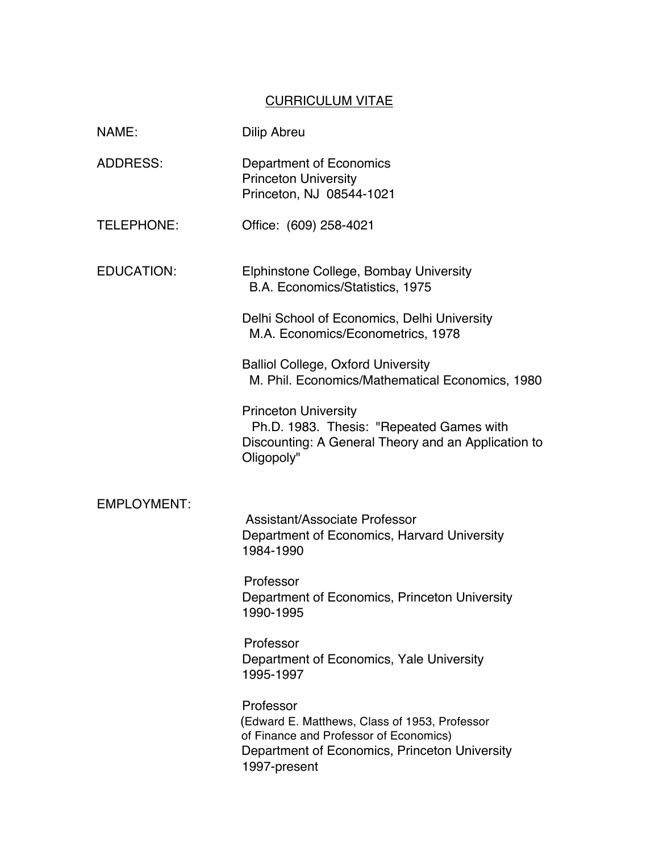## CURRICULUM VITAE

| NAME:              | <b>Dilip Abreu</b>                                                                                                                                                    |
|--------------------|-----------------------------------------------------------------------------------------------------------------------------------------------------------------------|
| <b>ADDRESS:</b>    | Department of Economics<br><b>Princeton University</b><br>Princeton, NJ 08544-1021                                                                                    |
| <b>TELEPHONE:</b>  | Office: (609) 258-4021                                                                                                                                                |
| <b>EDUCATION:</b>  | Elphinstone College, Bombay University<br>B.A. Economics/Statistics, 1975                                                                                             |
|                    | Delhi School of Economics, Delhi University<br>M.A. Economics/Econometrics, 1978                                                                                      |
|                    | <b>Balliol College, Oxford University</b><br>M. Phil. Economics/Mathematical Economics, 1980                                                                          |
|                    | <b>Princeton University</b><br>Ph.D. 1983. Thesis: "Repeated Games with<br>Discounting: A General Theory and an Application to<br>Oligopoly"                          |
| <b>EMPLOYMENT:</b> |                                                                                                                                                                       |
|                    | <b>Assistant/Associate Professor</b><br>Department of Economics, Harvard University<br>1984-1990                                                                      |
|                    | Professor<br>Department of Economics, Princeton University<br>1990-1995                                                                                               |
|                    | Professor<br>Department of Economics, Yale University<br>1995-1997                                                                                                    |
|                    | Professor<br>(Edward E. Matthews, Class of 1953, Professor<br>of Finance and Professor of Economics)<br>Department of Economics, Princeton University<br>1997-present |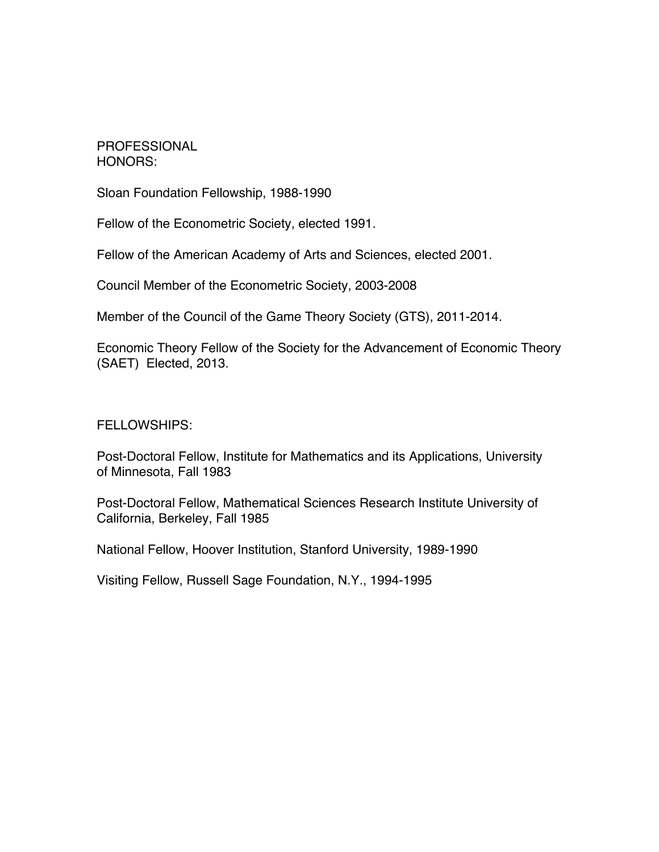## PROFESSIONAL HONORS:

Sloan Foundation Fellowship, 1988-1990

Fellow of the Econometric Society, elected 1991.

Fellow of the American Academy of Arts and Sciences, elected 2001.

Council Member of the Econometric Society, 2003-2008

Member of the Council of the Game Theory Society (GTS), 2011-2014.

Economic Theory Fellow of the Society for the Advancement of Economic Theory (SAET) Elected, 2013.

FELLOWSHIPS:

Post-Doctoral Fellow, Institute for Mathematics and its Applications, University of Minnesota, Fall 1983

Post-Doctoral Fellow, Mathematical Sciences Research Institute University of California, Berkeley, Fall 1985

National Fellow, Hoover Institution, Stanford University, 1989-1990

Visiting Fellow, Russell Sage Foundation, N.Y., 1994-1995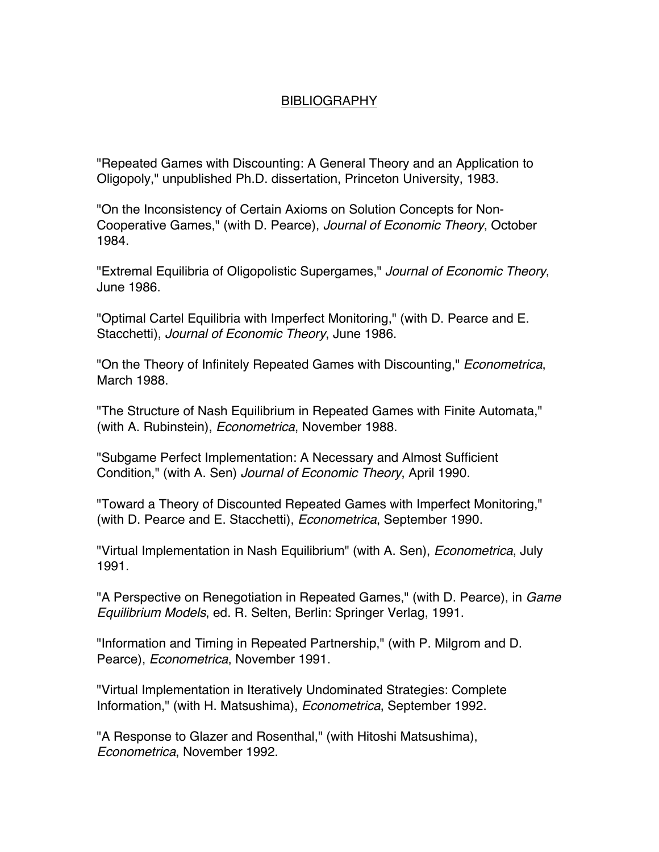## **BIBLIOGRAPHY**

"Repeated Games with Discounting: A General Theory and an Application to Oligopoly," unpublished Ph.D. dissertation, Princeton University, 1983.

"On the Inconsistency of Certain Axioms on Solution Concepts for Non-Cooperative Games," (with D. Pearce), *Journal of Economic Theory*, October 1984.

"Extremal Equilibria of Oligopolistic Supergames," *Journal of Economic Theory*, June 1986.

"Optimal Cartel Equilibria with Imperfect Monitoring," (with D. Pearce and E. Stacchetti), *Journal of Economic Theory*, June 1986.

"On the Theory of Infinitely Repeated Games with Discounting," *Econometrica*, March 1988.

"The Structure of Nash Equilibrium in Repeated Games with Finite Automata," (with A. Rubinstein), *Econometrica*, November 1988.

"Subgame Perfect Implementation: A Necessary and Almost Sufficient Condition," (with A. Sen) *Journal of Economic Theory*, April 1990.

"Toward a Theory of Discounted Repeated Games with Imperfect Monitoring," (with D. Pearce and E. Stacchetti), *Econometrica*, September 1990.

"Virtual Implementation in Nash Equilibrium" (with A. Sen), *Econometrica*, July 1991.

"A Perspective on Renegotiation in Repeated Games," (with D. Pearce), in *Game Equilibrium Models*, ed. R. Selten, Berlin: Springer Verlag, 1991.

"Information and Timing in Repeated Partnership," (with P. Milgrom and D. Pearce), *Econometrica*, November 1991.

"Virtual Implementation in Iteratively Undominated Strategies: Complete Information," (with H. Matsushima), *Econometrica*, September 1992.

"A Response to Glazer and Rosenthal," (with Hitoshi Matsushima), *Econometrica*, November 1992.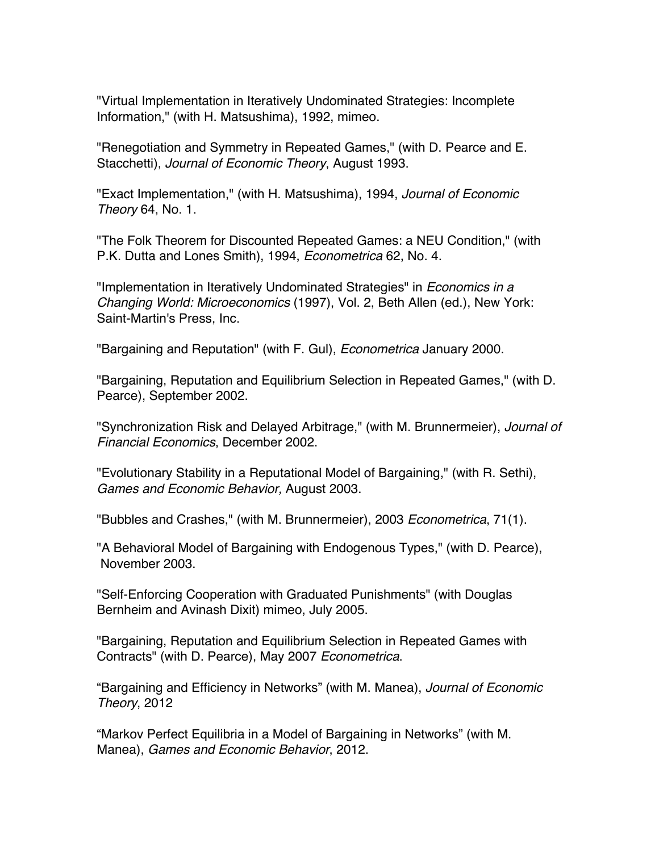"Virtual Implementation in Iteratively Undominated Strategies: Incomplete Information," (with H. Matsushima), 1992, mimeo.

"Renegotiation and Symmetry in Repeated Games," (with D. Pearce and E. Stacchetti), *Journal of Economic Theory*, August 1993.

"Exact Implementation," (with H. Matsushima), 1994, *Journal of Economic Theory* 64, No. 1.

"The Folk Theorem for Discounted Repeated Games: a NEU Condition," (with P.K. Dutta and Lones Smith), 1994, *Econometrica* 62, No. 4.

"Implementation in Iteratively Undominated Strategies" in *Economics in a Changing World: Microeconomics* (1997), Vol. 2, Beth Allen (ed.), New York: Saint-Martin's Press, Inc.

"Bargaining and Reputation" (with F. Gul), *Econometrica* January 2000.

"Bargaining, Reputation and Equilibrium Selection in Repeated Games," (with D. Pearce), September 2002.

"Synchronization Risk and Delayed Arbitrage," (with M. Brunnermeier), *Journal of Financial Economics*, December 2002.

"Evolutionary Stability in a Reputational Model of Bargaining," (with R. Sethi), *Games and Economic Behavior,* August 2003.

"Bubbles and Crashes," (with M. Brunnermeier), 2003 *Econometrica*, 71(1).

"A Behavioral Model of Bargaining with Endogenous Types," (with D. Pearce), November 2003.

"Self-Enforcing Cooperation with Graduated Punishments" (with Douglas Bernheim and Avinash Dixit) mimeo, July 2005.

"Bargaining, Reputation and Equilibrium Selection in Repeated Games with Contracts" (with D. Pearce), May 2007 *Econometrica*.

"Bargaining and Efficiency in Networks" (with M. Manea), *Journal of Economic Theory*, 2012

"Markov Perfect Equilibria in a Model of Bargaining in Networks" (with M. Manea), *Games and Economic Behavior*, 2012.